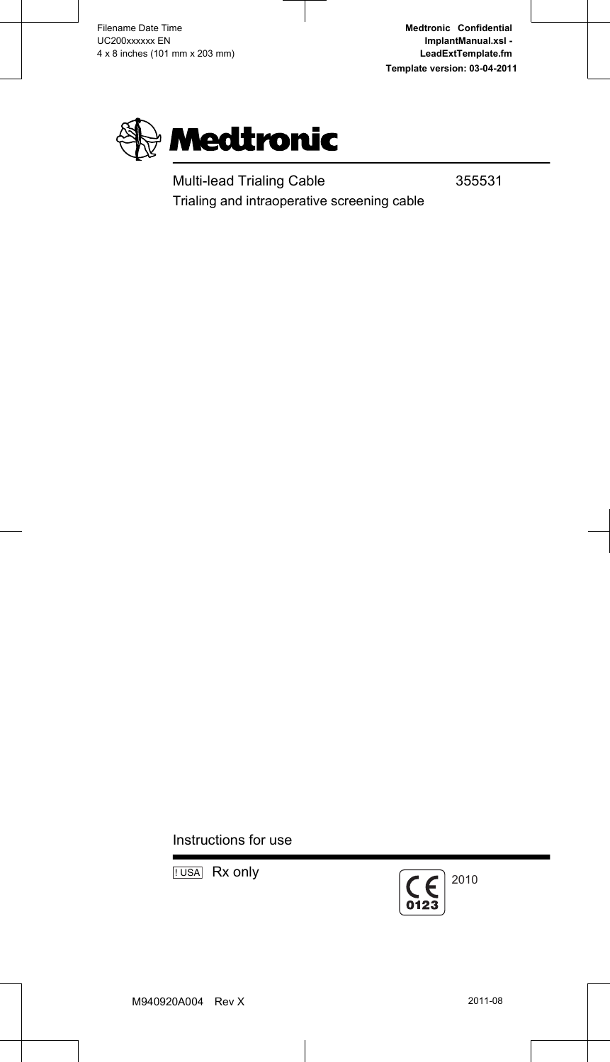

Multi-lead Trialing Cable 355531 Trialing and intraoperative screening cable

Instructions for use

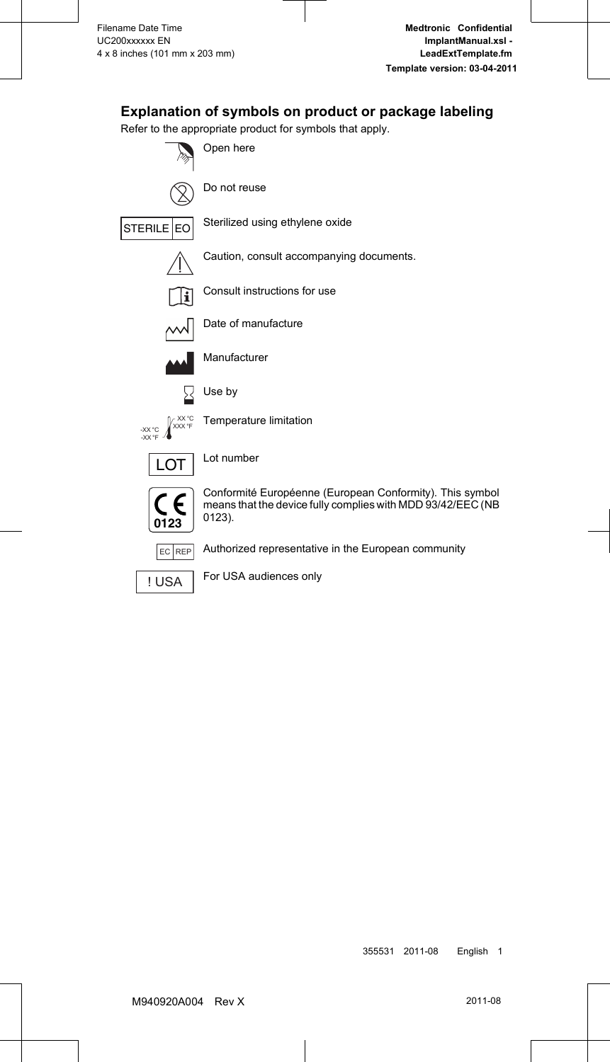### **Explanation of symbols on product or package labeling**

Refer to the appropriate product for symbols that apply.



**I USA** For USA audiences only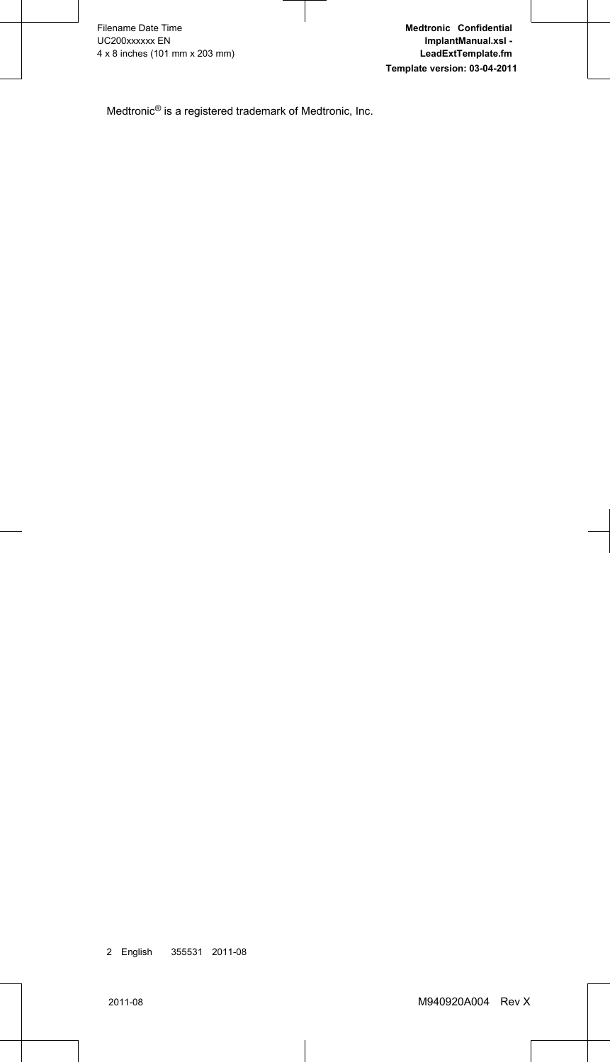Medtronic® is a registered trademark of Medtronic, Inc.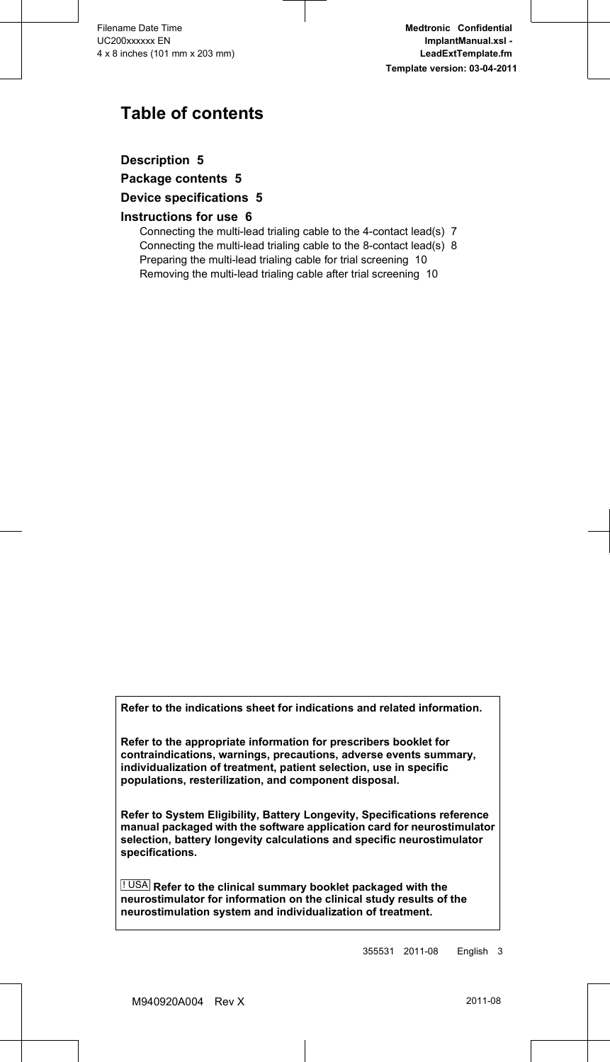## **Table of contents**

**[Description 5](#page-6-0)**

**[Package contents 5](#page-6-0)**

#### **[Device specifications 5](#page-6-0)**

#### **[Instructions for use 6](#page-7-0)**

[Connecting the multi-lead trialing cable to the 4-contact lead\(s\) 7](#page-8-0) [Connecting the multi-lead trialing cable to the 8-contact lead\(s\) 8](#page-9-0) [Preparing the multi-lead trialing cable for trial screening 10](#page-11-0) [Removing the multi-lead trialing cable after trial screening 10](#page-11-0)

**Refer to the indications sheet for indications and related information.**

**Refer to the appropriate information for prescribers booklet for contraindications, warnings, precautions, adverse events summary, individualization of treatment, patient selection, use in specific populations, resterilization, and component disposal.**

**Refer to System Eligibility, Battery Longevity, Specifications reference manual packaged with the software application card for neurostimulator selection, battery longevity calculations and specific neurostimulator specifications.**

! USA **Refer to the clinical summary booklet packaged with the neurostimulator for information on the clinical study results of the neurostimulation system and individualization of treatment.**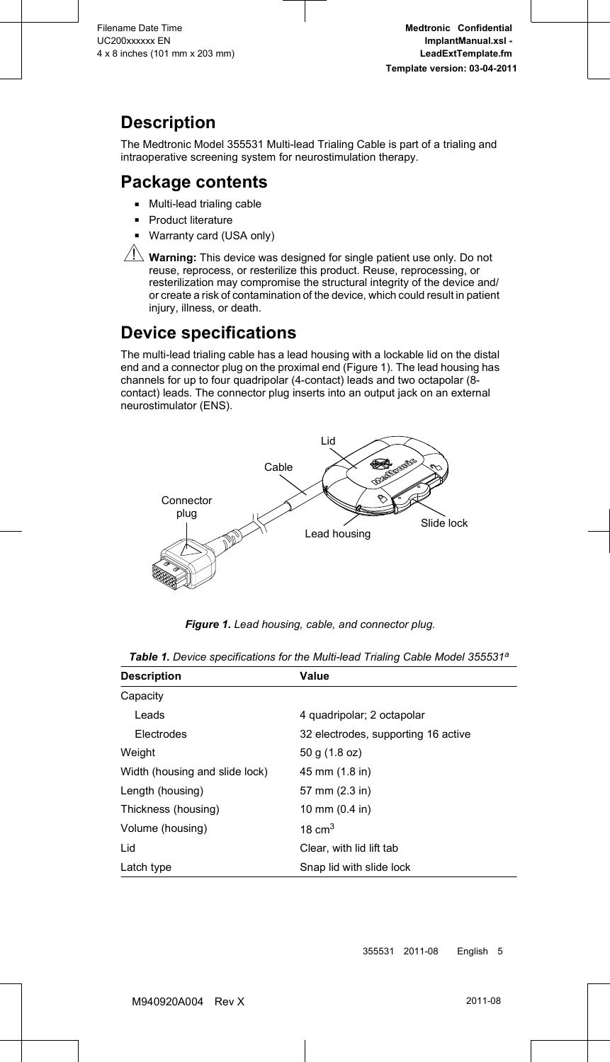# <span id="page-6-0"></span>**Description**

The Medtronic Model 355531 Multi-lead Trialing Cable is part of a trialing and intraoperative screening system for neurostimulation therapy.

### **Package contents**

- Multi-lead trialing cable
- **•** Product literature
- **Warranty card (USA only)**



 $\sqrt{\frac{1}{N}}$  Warning: This device was designed for single patient use only. Do not reuse, reprocess, or resterilize this product. Reuse, reprocessing, or resterilization may compromise the structural integrity of the device and/ or create a risk of contamination of the device, which could result in patient injury, illness, or death.

## **Device specifications**

The multi-lead trialing cable has a lead housing with a lockable lid on the distal end and a connector plug on the proximal end (Figure 1). The lead housing has channels for up to four quadripolar (4-contact) leads and two octapolar (8 contact) leads. The connector plug inserts into an output jack on an external neurostimulator (ENS).



*Figure 1. Lead housing, cable, and connector plug.*

| <b>Description</b>             | Value                               |
|--------------------------------|-------------------------------------|
| Capacity                       |                                     |
| Leads                          | 4 quadripolar; 2 octapolar          |
| Electrodes                     | 32 electrodes, supporting 16 active |
| Weight                         | 50 g (1.8 oz)                       |
| Width (housing and slide lock) | 45 mm (1.8 in)                      |
| Length (housing)               | 57 mm (2.3 in)                      |
| Thickness (housing)            | 10 mm $(0.4 \text{ in})$            |
| Volume (housing)               | 18 $cm3$                            |
| Lid                            | Clear, with lid lift tab            |
| Latch type                     | Snap lid with slide lock            |

|  | Table 1. Device specifications for the Multi-lead Trialing Cable Model 355531 <sup>a</sup> |  |  |  |
|--|--------------------------------------------------------------------------------------------|--|--|--|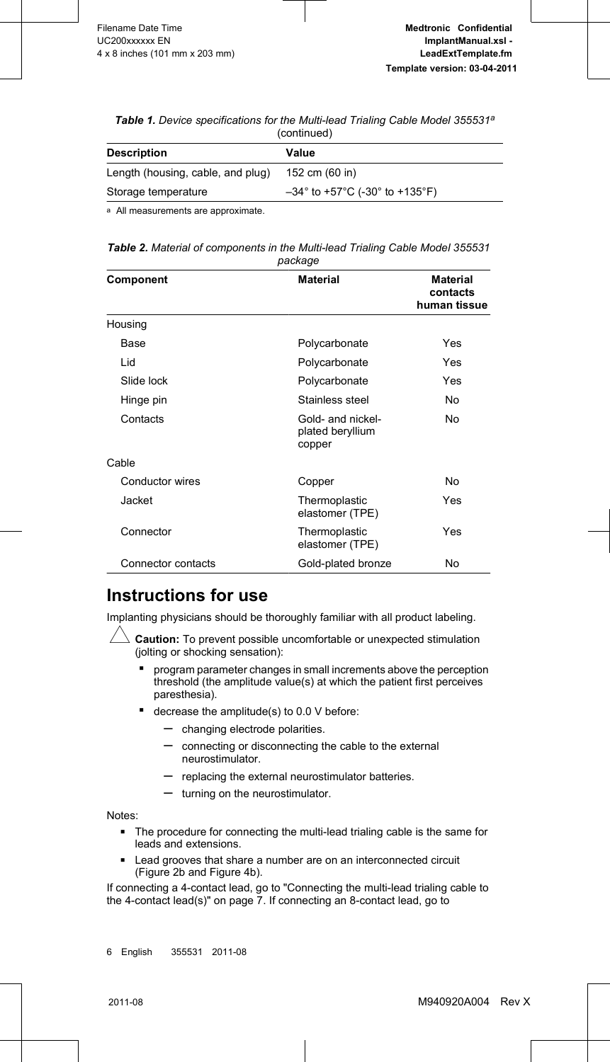<span id="page-7-0"></span>*Table 1. Device specifications for the Multi-lead Trialing Cable Model 355531a* (continued)

| 1991111199947                     |                                                                         |  |  |
|-----------------------------------|-------------------------------------------------------------------------|--|--|
| <b>Description</b>                | Value                                                                   |  |  |
| Length (housing, cable, and plug) | 152 cm (60 in)                                                          |  |  |
| Storage temperature               | $-34^{\circ}$ to +57 $^{\circ}$ C (-30 $^{\circ}$ to +135 $^{\circ}$ F) |  |  |
|                                   |                                                                         |  |  |

a All measurements are approximate.

| Table 2. Material of components in the Multi-lead Trialing Cable Model 355531 |         |  |  |
|-------------------------------------------------------------------------------|---------|--|--|
|                                                                               | package |  |  |

| Component          | <b>Material</b>                                 | <b>Material</b><br>contacts<br>human tissue |
|--------------------|-------------------------------------------------|---------------------------------------------|
| Housing            |                                                 |                                             |
| Base               | Polycarbonate                                   | Yes                                         |
| Lid                | Polycarbonate                                   | Yes                                         |
| Slide lock         | Polycarbonate                                   | Yes                                         |
| Hinge pin          | Stainless steel                                 | No                                          |
| Contacts           | Gold- and nickel-<br>plated beryllium<br>copper | No                                          |
| Cable              |                                                 |                                             |
| Conductor wires    | Copper                                          | No                                          |
| Jacket             | Thermoplastic<br>elastomer (TPE)                | Yes                                         |
| Connector          | Thermoplastic<br>elastomer (TPE)                | Yes                                         |
| Connector contacts | Gold-plated bronze                              | No                                          |

### **Instructions for use**

Implanting physicians should be thoroughly familiar with all product labeling.

 $\triangle$  **Caution:** To prevent possible uncomfortable or unexpected stimulation (iolting or shocking sensation):

- program parameter changes in small increments above the perception threshold (the amplitude value(s) at which the patient first perceives paresthesia).
- decrease the amplitude(s) to 0.0 V before:
	- changing electrode polarities.
	- connecting or disconnecting the cable to the external neurostimulator.
	- replacing the external neurostimulator batteries.
	- turning on the neurostimulator.

Notes:

- The procedure for connecting the multi-lead trialing cable is the same for leads and extensions.
- Lead grooves that share a number are on an interconnected circuit [\(Figure 2b](#page-8-0) and [Figure 4](#page-10-0)b).

If connecting a 4-contact lead, go to ["Connecting the multi-lead trialing cable to](#page-8-0) [the 4-contact lead\(s\)" on page 7](#page-8-0). If connecting an 8-contact lead, go to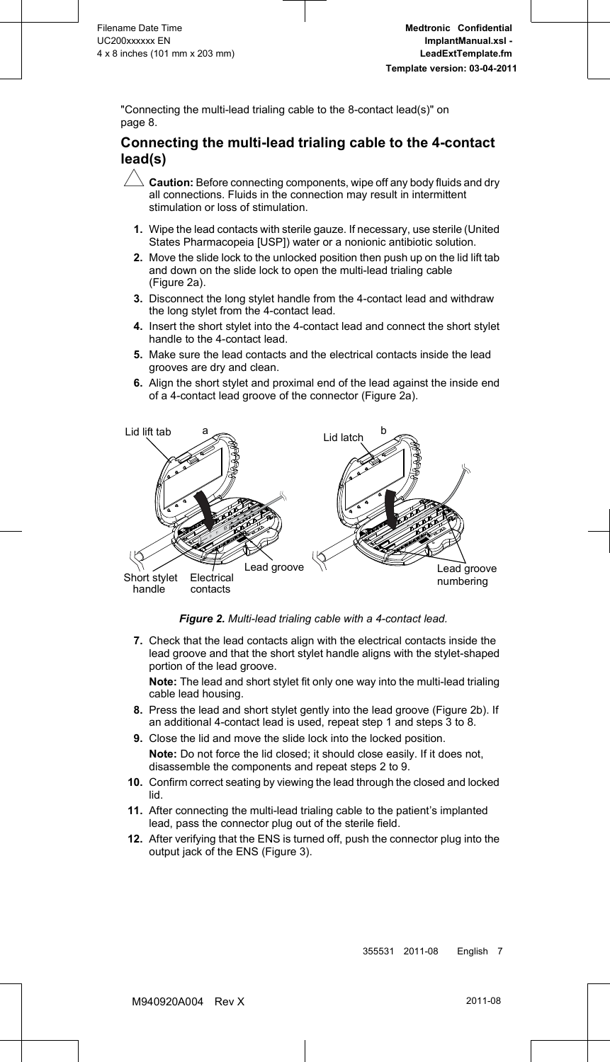<span id="page-8-0"></span>["Connecting the multi-lead trialing cable to the 8-contact lead\(s\)" on](#page-9-0) [page 8](#page-9-0).

#### **Connecting the multi-lead trialing cable to the 4-contact lead(s)**

- **Caution:** Before connecting components, wipe off any body fluids and dry all connections. Fluids in the connection may result in intermittent stimulation or loss of stimulation.
- **1.** Wipe the lead contacts with sterile gauze. If necessary, use sterile (United States Pharmacopeia [USP]) water or a nonionic antibiotic solution.
- **2.** Move the slide lock to the unlocked position then push up on the lid lift tab and down on the slide lock to open the multi-lead trialing cable (Figure 2a).
- **3.** Disconnect the long stylet handle from the 4-contact lead and withdraw the long stylet from the 4-contact lead.
- **4.** Insert the short stylet into the 4-contact lead and connect the short stylet handle to the 4-contact lead.
- **5.** Make sure the lead contacts and the electrical contacts inside the lead grooves are dry and clean.
- **6.** Align the short stylet and proximal end of the lead against the inside end of a 4-contact lead groove of the connector (Figure 2a).



*Figure 2. Multi-lead trialing cable with a 4-contact lead.*

**7.** Check that the lead contacts align with the electrical contacts inside the lead groove and that the short stylet handle aligns with the stylet-shaped portion of the lead groove.

**Note:** The lead and short stylet fit only one way into the multi-lead trialing cable lead housing.

- **8.** Press the lead and short stylet gently into the lead groove (Figure 2b). If an additional 4-contact lead is used, repeat step 1 and steps 3 to 8.
- **9.** Close the lid and move the slide lock into the locked position.

**Note:** Do not force the lid closed; it should close easily. If it does not, disassemble the components and repeat steps 2 to 9.

- **10.** Confirm correct seating by viewing the lead through the closed and locked lid.
- **11.** After connecting the multi-lead trialing cable to the patient's implanted lead, pass the connector plug out of the sterile field.
- **12.** After verifying that the ENS is turned off, push the connector plug into the output jack of the ENS ([Figure 3](#page-9-0)).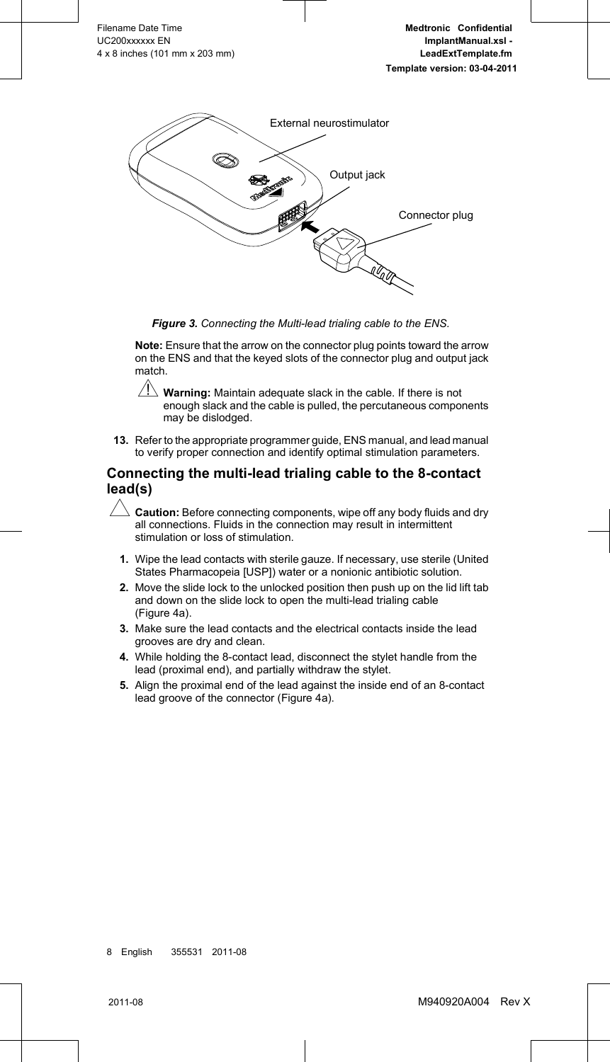<span id="page-9-0"></span>

*Figure 3. Connecting the Multi-lead trialing cable to the ENS.*

**Note:** Ensure that the arrow on the connector plug points toward the arrow on the ENS and that the keyed slots of the connector plug and output jack match.

- $\Delta$  **Warning:** Maintain adequate slack in the cable. If there is not enough slack and the cable is pulled, the percutaneous components may be dislodged.
- **13.** Refer to the appropriate programmer guide, ENS manual, and lead manual to verify proper connection and identify optimal stimulation parameters.

#### **Connecting the multi-lead trialing cable to the 8-contact lead(s)**

- $\Delta$  **Caution:** Before connecting components, wipe off any body fluids and dry all connections. Fluids in the connection may result in intermittent stimulation or loss of stimulation.
- **1.** Wipe the lead contacts with sterile gauze. If necessary, use sterile (United States Pharmacopeia [USP]) water or a nonionic antibiotic solution.
- **2.** Move the slide lock to the unlocked position then push up on the lid lift tab and down on the slide lock to open the multi-lead trialing cable [\(Figure 4a](#page-10-0)).
- **3.** Make sure the lead contacts and the electrical contacts inside the lead grooves are dry and clean.
- **4.** While holding the 8-contact lead, disconnect the stylet handle from the lead (proximal end), and partially withdraw the stylet.
- **5.** Align the proximal end of the lead against the inside end of an 8-contact lead groove of the connector ([Figure 4a](#page-10-0)).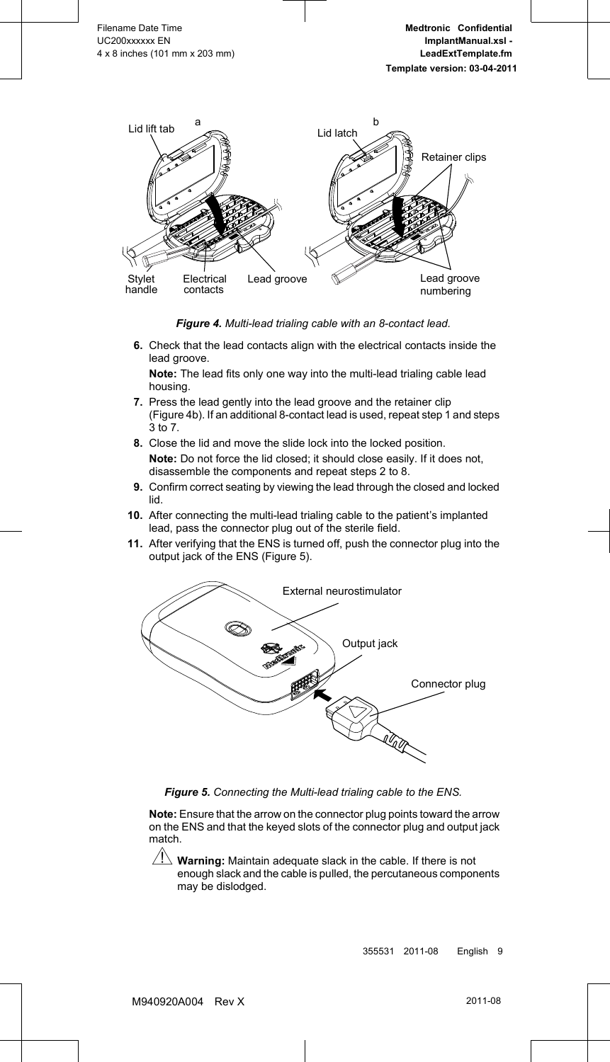<span id="page-10-0"></span>

*Figure 4. Multi-lead trialing cable with an 8-contact lead.*

**6.** Check that the lead contacts align with the electrical contacts inside the lead groove.

**Note:** The lead fits only one way into the multi-lead trialing cable lead housing.

- **7.** Press the lead gently into the lead groove and the retainer clip (Figure 4b). If an additional 8-contact lead is used, repeat step [1](#page-9-0) and steps  $3 \overline{10}$  $3 \overline{10}$  7.
- **8.** Close the lid and move the slide lock into the locked position. **Note:** Do not force the lid closed; it should close easily. If it does not, disassemble the components and repeat steps [2](#page-9-0) to 8.
- **9.** Confirm correct seating by viewing the lead through the closed and locked lid.
- **10.** After connecting the multi-lead trialing cable to the patient's implanted lead, pass the connector plug out of the sterile field.
- **11.** After verifying that the ENS is turned off, push the connector plug into the output jack of the ENS (Figure 5).



*Figure 5. Connecting the Multi-lead trialing cable to the ENS.*

**Note:** Ensure that the arrow on the connector plug points toward the arrow on the ENS and that the keyed slots of the connector plug and output jack match.

 $\frac{1}{1}$  **Warning:** Maintain adequate slack in the cable. If there is not enough slack and the cable is pulled, the percutaneous components may be dislodged.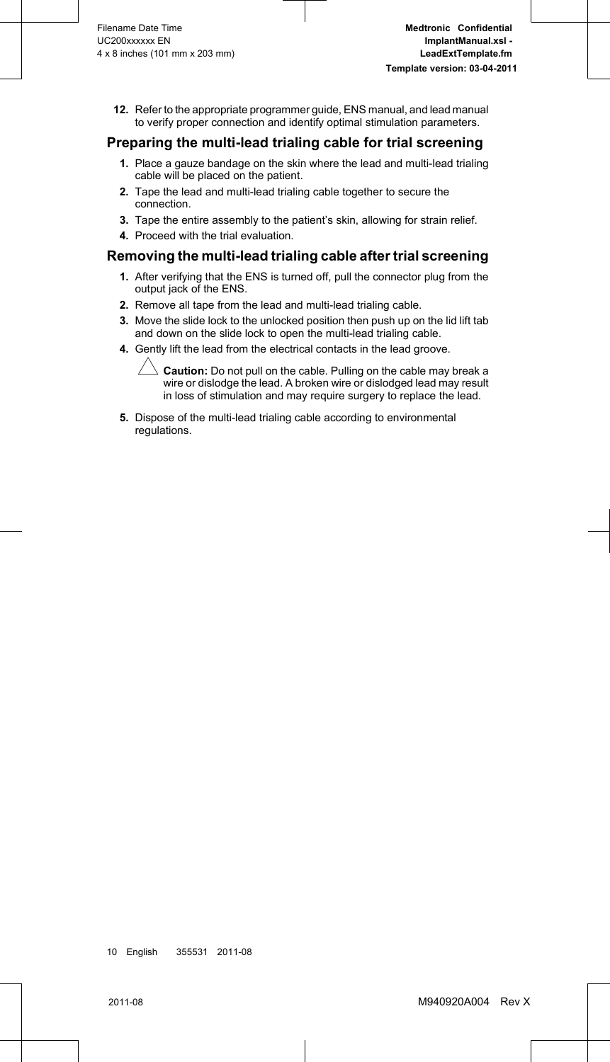<span id="page-11-0"></span>**12.** Refer to the appropriate programmer guide, ENS manual, and lead manual to verify proper connection and identify optimal stimulation parameters.

### **Preparing the multi-lead trialing cable for trial screening**

- **1.** Place a gauze bandage on the skin where the lead and multi-lead trialing cable will be placed on the patient.
- **2.** Tape the lead and multi-lead trialing cable together to secure the connection.
- **3.** Tape the entire assembly to the patient's skin, allowing for strain relief.
- **4.** Proceed with the trial evaluation.

#### **Removing the multi-lead trialing cable after trial screening**

- **1.** After verifying that the ENS is turned off, pull the connector plug from the output jack of the ENS.
- **2.** Remove all tape from the lead and multi-lead trialing cable.
- **3.** Move the slide lock to the unlocked position then push up on the lid lift tab and down on the slide lock to open the multi-lead trialing cable.
- **4.** Gently lift the lead from the electrical contacts in the lead groove.

 $\triangle$  **Caution:** Do not pull on the cable. Pulling on the cable may break a wire or dislodge the lead. A broken wire or dislodged lead may result in loss of stimulation and may require surgery to replace the lead.

**5.** Dispose of the multi-lead trialing cable according to environmental regulations.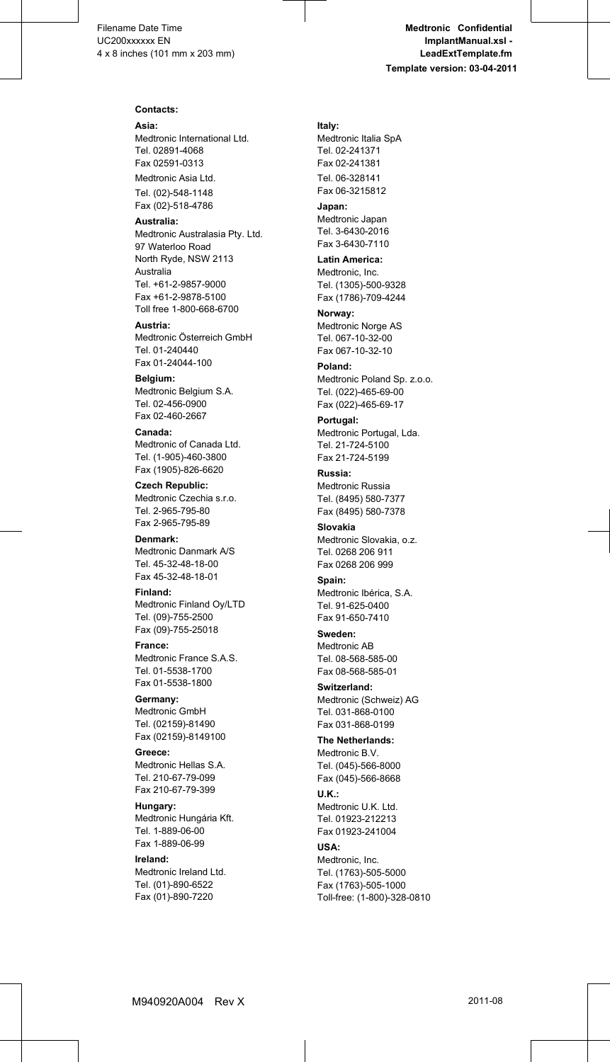#### **Contacts:**

**Asia:** Medtronic International Ltd. Tel. 02891-4068 Fax 02591-0313

Medtronic Asia Ltd. Tel. (02)-548-1148 Fax (02)-518-4786

**Australia:** Medtronic Australasia Pty. Ltd. 97 Waterloo Road North Ryde, NSW 2113 Australia Tel. +61-2-9857-9000 Fax +61-2-9878-5100 Toll free 1-800-668-6700

**Austria:** Medtronic Österreich GmbH Tel. 01-240440 Fax 01-24044-100

**Belgium:** Medtronic Belgium S.A. Tel. 02-456-0900 Fax 02-460-2667

**Canada:** Medtronic of Canada Ltd. Tel. (1-905)-460-3800 Fax (1905)-826-6620

**Czech Republic:** Medtronic Czechia s.r.o. Tel. 2-965-795-80 Fax 2-965-795-89

**Denmark:** Medtronic Danmark A/S Tel. 45-32-48-18-00 Fax 45-32-48-18-01

**Finland:** Medtronic Finland Oy/LTD Tel. (09)-755-2500 Fax (09)-755-25018

**France:** Medtronic France S.A.S. Tel. 01-5538-1700 Fax 01-5538-1800

**Germany:** Medtronic GmbH Tel. (02159)-81490 Fax (02159)-8149100

**Greece:** Medtronic Hellas S.A. Tel. 210-67-79-099 Fax 210-67-79-399

**Hungary:** Medtronic Hungária Kft. Tel. 1-889-06-00 Fax 1-889-06-99

**Ireland:** Medtronic Ireland Ltd. Tel. (01)-890-6522 Fax (01)-890-7220

**Italy:** Medtronic Italia SpA Tel. 02-241371 Fax 02-241381 Tel. 06-328141 Fax 06-3215812

**Japan:** Medtronic Japan Tel. 3-6430-2016 Fax 3-6430-7110

**Latin America:** Medtronic, Inc. Tel. (1305)-500-9328 Fax (1786)-709-4244

**Norway:** Medtronic Norge AS Tel. 067-10-32-00 Fax 067-10-32-10

**Poland:** Medtronic Poland Sp. z.o.o. Tel. (022)-465-69-00 Fax (022)-465-69-17

**Portugal:** Medtronic Portugal, Lda. Tel. 21-724-5100 Fax 21-724-5199

**Russia:** Medtronic Russia Tel. (8495) 580-7377 Fax (8495) 580-7378

**Slovakia** Medtronic Slovakia, o.z. Tel. 0268 206 911 Fax 0268 206 999

**Spain:** Medtronic Ibérica, S.A. Tel. 91-625-0400 Fax 91-650-7410

**Sweden:** Medtronic AB Tel. 08-568-585-00 Fax 08-568-585-01

**Switzerland:** Medtronic (Schweiz) AG Tel. 031-868-0100 Fax 031-868-0199

**The Netherlands:** Medtronic B.V. Tel. (045)-566-8000 Fax (045)-566-8668 **U.K.:** Medtronic U.K. Ltd. Tel. 01923-212213 Fax 01923-241004

**USA:** Medtronic, Inc. Tel. (1763)-505-5000 Fax (1763)-505-1000 Toll-free: (1-800)-328-0810